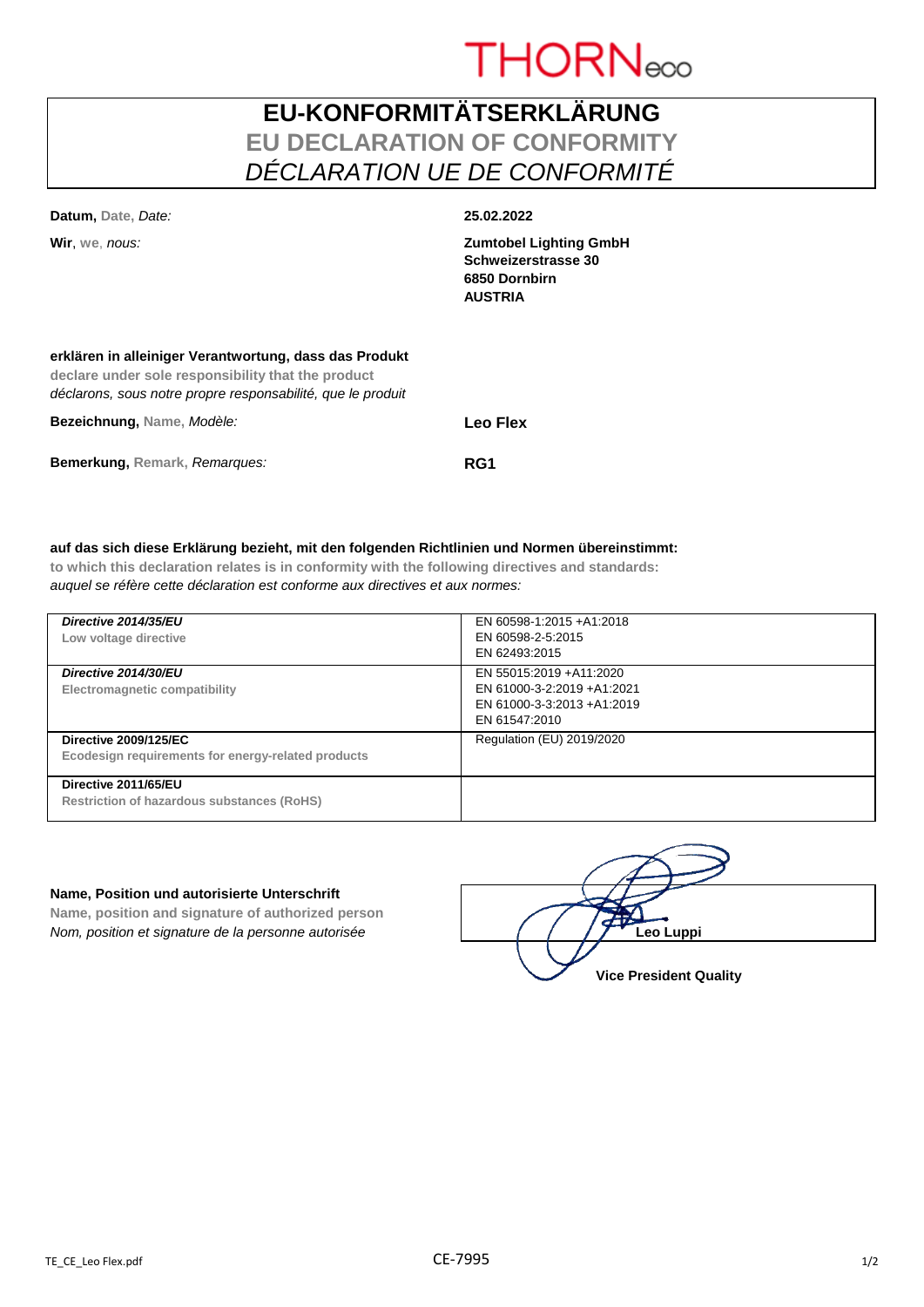

# **EU-KONFORMITÄTSERKLÄRUNG EU DECLARATION OF CONFORMITY** *DÉCLARATION UE DE CONFORMITÉ*

| Datum, Date, Date:                                                                                                                                                          | 25.02.2022                                                                              |
|-----------------------------------------------------------------------------------------------------------------------------------------------------------------------------|-----------------------------------------------------------------------------------------|
| Wir. we. nous:                                                                                                                                                              | <b>Zumtobel Lighting GmbH</b><br>Schweizerstrasse 30<br>6850 Dornbirn<br><b>AUSTRIA</b> |
| erklären in alleiniger Verantwortung, dass das Produkt<br>declare under sole responsibility that the product<br>déclarons, sous notre propre responsabilité, que le produit |                                                                                         |
| Bezeichnung, Name, Modèle:                                                                                                                                                  | Leo Flex                                                                                |

**Bemerkung, Remark,** *Remarques:* **RG1**

|  |  |  |  |  | auf das sich diese Erklärung bezieht, mit den folgenden Richtlinien und Normen übereinstimmt: |  |
|--|--|--|--|--|-----------------------------------------------------------------------------------------------|--|
|  |  |  |  |  |                                                                                               |  |
|  |  |  |  |  |                                                                                               |  |
|  |  |  |  |  |                                                                                               |  |

**to which this declaration relates is in conformity with the following directives and standards:** *auquel se réfère cette déclaration est conforme aux directives et aux normes:*

| Directive 2014/35/EU<br>Low voltage directive                                      | EN 60598-1:2015 +A1:2018<br>EN 60598-2-5:2015<br>EN 62493:2015                                       |
|------------------------------------------------------------------------------------|------------------------------------------------------------------------------------------------------|
| Directive 2014/30/EU<br>Electromagnetic compatibility                              | EN 55015:2019 +A11:2020<br>EN 61000-3-2:2019 +A1:2021<br>EN 61000-3-3:2013 +A1:2019<br>EN 61547:2010 |
| <b>Directive 2009/125/EC</b><br>Ecodesign requirements for energy-related products | Regulation (EU) 2019/2020                                                                            |
| Directive 2011/65/EU<br><b>Restriction of hazardous substances (RoHS)</b>          |                                                                                                      |

## **Name, Position und autorisierte Unterschrift**

**Name, position and signature of authorized person** *Nom, position et signature de la personne autorisée*  $\sqrt{2\pi}$  Leo Luppi

**Vice President Quality**